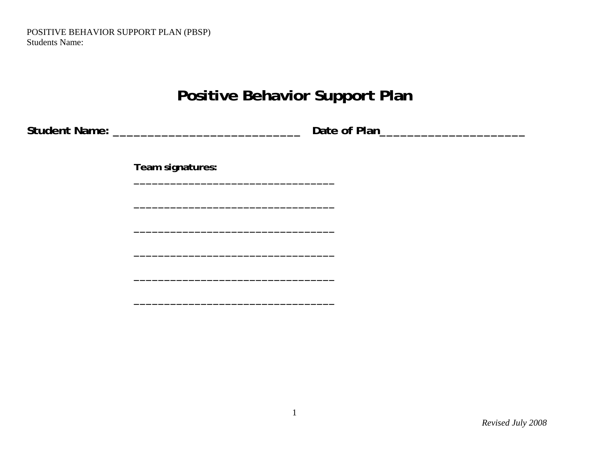POSITIVE BEHAVIOR SUPPORT PLAN (PBSP) Students Name:

# **Positive Behavior Support Plan**

|  | <b>Student Name:</b> |
|--|----------------------|
|  |                      |

**Student Name: A Student Name: A Student Name: A Student Name: A Student Name: A Student Name: A Student Name:** 

**Team signatures:** 

**\_\_\_\_\_\_\_\_\_\_\_\_\_\_\_\_\_\_\_\_\_\_\_\_\_\_\_\_\_\_\_\_\_** 

**\_\_\_\_\_\_\_\_\_\_\_\_\_\_\_\_\_\_\_\_\_\_\_\_\_\_\_\_\_\_\_\_\_** 

**\_\_\_\_\_\_\_\_\_\_\_\_\_\_\_\_\_\_\_\_\_\_\_\_\_\_\_\_\_\_\_\_\_** 

**\_\_\_\_\_\_\_\_\_\_\_\_\_\_\_\_\_\_\_\_\_\_\_\_\_\_\_\_\_\_\_\_\_** 

**\_\_\_\_\_\_\_\_\_\_\_\_\_\_\_\_\_\_\_\_\_\_\_\_\_\_\_\_\_\_\_\_\_** 

**\_\_\_\_\_\_\_\_\_\_\_\_\_\_\_\_\_\_\_\_\_\_\_\_\_\_\_\_\_\_\_\_\_**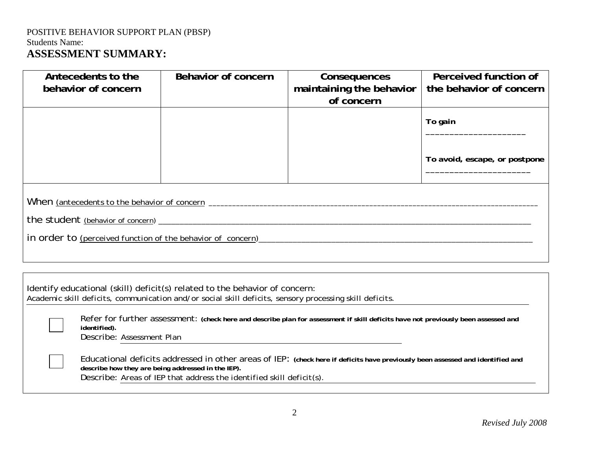### POSITIVE BEHAVIOR SUPPORT PLAN (PBSP) Students Name: **ASSESSMENT SUMMARY:**

| Antecedents to the<br>behavior of concern                                                                                                                                                                                                                    | Behavior of concern                                                                                                                                                                    | Consequences<br>maintaining the behavior<br>of concern | Perceived function of<br>the behavior of concern |  |  |  |
|--------------------------------------------------------------------------------------------------------------------------------------------------------------------------------------------------------------------------------------------------------------|----------------------------------------------------------------------------------------------------------------------------------------------------------------------------------------|--------------------------------------------------------|--------------------------------------------------|--|--|--|
|                                                                                                                                                                                                                                                              |                                                                                                                                                                                        |                                                        | To gain                                          |  |  |  |
|                                                                                                                                                                                                                                                              |                                                                                                                                                                                        |                                                        | To avoid, escape, or postpone                    |  |  |  |
| When <i>(antecedents to the behavior of concern</i> $\overline{\phantom{a}}$                                                                                                                                                                                 |                                                                                                                                                                                        |                                                        |                                                  |  |  |  |
| the student (behavior of concern) ____________                                                                                                                                                                                                               |                                                                                                                                                                                        |                                                        |                                                  |  |  |  |
| in order to <i>(perceived function of the behavior of concern)</i>                                                                                                                                                                                           |                                                                                                                                                                                        |                                                        |                                                  |  |  |  |
|                                                                                                                                                                                                                                                              |                                                                                                                                                                                        |                                                        |                                                  |  |  |  |
|                                                                                                                                                                                                                                                              | Identify educational (skill) deficit(s) related to the behavior of concern:<br>Academic skill deficits, communication and/or social skill deficits, sensory processing skill deficits. |                                                        |                                                  |  |  |  |
| Refer for further assessment: (check here and describe plan for assessment if skill deficits have not previously been assessed and<br>identified).<br>Describe: Assessment Plan                                                                              |                                                                                                                                                                                        |                                                        |                                                  |  |  |  |
| Educational deficits addressed in other areas of IEP: (check here if deficits have previously been assessed and identified and<br>describe how they are being addressed in the IEP).<br>Describe: Areas of IEP that address the identified skill deficit(s). |                                                                                                                                                                                        |                                                        |                                                  |  |  |  |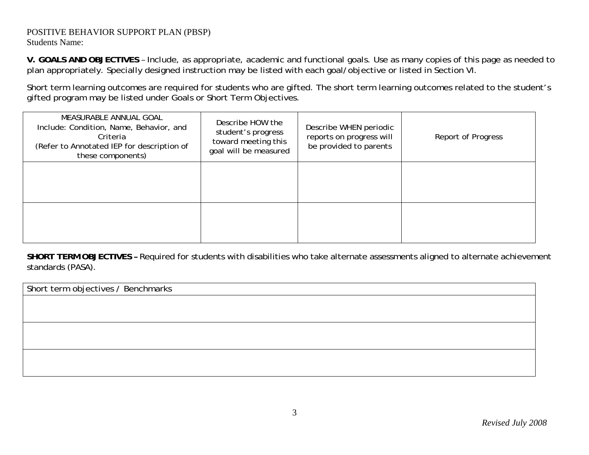#### POSITIVE BEHAVIOR SUPPORT PLAN (PBSP) Students Name:

**V. GOALS AND OBJECTIVES** – Include, as appropriate, academic and functional goals. Use as many copies of this page as needed to plan appropriately. Specially designed instruction may be listed with each goal/objective or listed in Section VI.

Short term learning outcomes are required for students who are gifted. The short term learning outcomes related to the student's gifted program may be listed under Goals or Short Term Objectives.

| MEASURABLE ANNUAL GOAL<br>Include: Condition, Name, Behavior, and<br>Criteria<br>(Refer to Annotated IEP for description of<br>these components) | Describe HOW the<br>student's progress<br>toward meeting this<br>goal will be measured | Describe WHEN periodic<br>reports on progress will<br>be provided to parents | Report of Progress |
|--------------------------------------------------------------------------------------------------------------------------------------------------|----------------------------------------------------------------------------------------|------------------------------------------------------------------------------|--------------------|
|                                                                                                                                                  |                                                                                        |                                                                              |                    |
|                                                                                                                                                  |                                                                                        |                                                                              |                    |

**SHORT TERM OBJECTIVES –** Required for students with disabilities who take alternate assessments aligned to alternate achievement standards (PASA).

Short term objectives / Benchmarks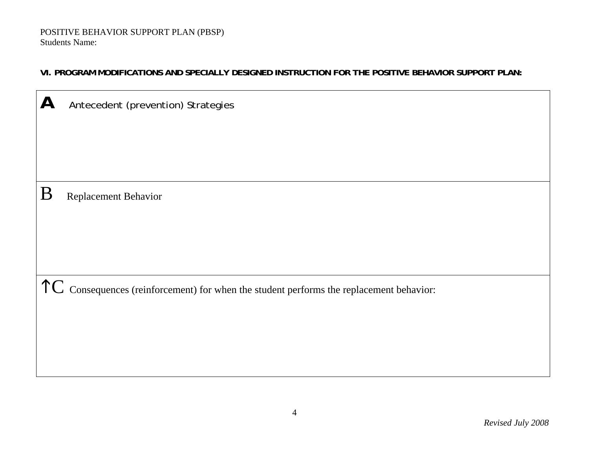#### **VI. PROGRAM MODIFICATIONS AND SPECIALLY DESIGNED INSTRUCTION FOR THE POSITIVE BEHAVIOR SUPPORT PLAN:**

| $\mathsf{A}$<br>Antecedent (prevention) Strategies |                                                                                                   |  |  |  |  |  |
|----------------------------------------------------|---------------------------------------------------------------------------------------------------|--|--|--|--|--|
|                                                    |                                                                                                   |  |  |  |  |  |
|                                                    |                                                                                                   |  |  |  |  |  |
| B                                                  | Replacement Behavior                                                                              |  |  |  |  |  |
|                                                    |                                                                                                   |  |  |  |  |  |
|                                                    |                                                                                                   |  |  |  |  |  |
|                                                    |                                                                                                   |  |  |  |  |  |
|                                                    | $\uparrow$ C Consequences (reinforcement) for when the student performs the replacement behavior: |  |  |  |  |  |
|                                                    |                                                                                                   |  |  |  |  |  |
|                                                    |                                                                                                   |  |  |  |  |  |
|                                                    |                                                                                                   |  |  |  |  |  |

<u> 1989 - Johann Barn, fransk politik (f. 1989)</u>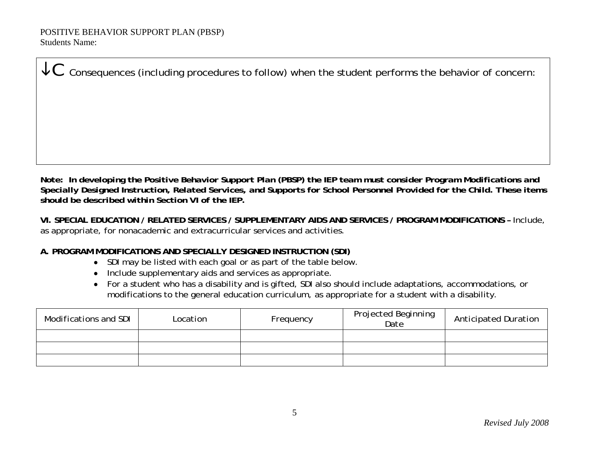$\mathcal{L}\mathbf{C}\,$  Consequences (including procedures to follow) when the student performs the behavior of concern:

*Note: In developing the Positive Behavior Support Plan (PBSP) the IEP team must consider Program Modifications and Specially Designed Instruction, Related Services, and Supports for School Personnel Provided for the Child. These items should be described within Section VI of the IEP.* 

**VI. SPECIAL EDUCATION / RELATED SERVICES / SUPPLEMENTARY AIDS AND SERVICES / PROGRAM MODIFICATIONS –** Include, as appropriate, for nonacademic and extracurricular services and activities.

#### **A. PROGRAM MODIFICATIONS AND SPECIALLY DESIGNED INSTRUCTION (SDI)**

- SDI may be listed with each goal or as part of the table below.
- Include supplementary aids and services as appropriate.
- For a student who has a disability and is gifted, SDI also should include adaptations, accommodations, or modifications to the general education curriculum, as appropriate for a student with a disability.

| Modifications and SDI | Location | Frequency | <b>Projected Beginning</b><br>Date | <b>Anticipated Duration</b> |
|-----------------------|----------|-----------|------------------------------------|-----------------------------|
|                       |          |           |                                    |                             |
|                       |          |           |                                    |                             |
|                       |          |           |                                    |                             |